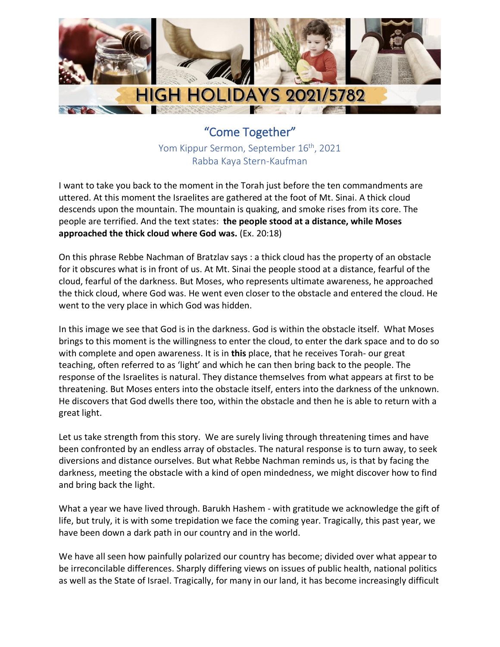

"Come Together" Yom Kippur Sermon, September 16<sup>th</sup>, 2021 Rabba Kaya Stern-Kaufman

I want to take you back to the moment in the Torah just before the ten commandments are uttered. At this moment the Israelites are gathered at the foot of Mt. Sinai. A thick cloud descends upon the mountain. The mountain is quaking, and smoke rises from its core. The people are terrified. And the text states: **the people stood at a distance, while Moses approached the thick cloud where God was.** (Ex. 20:18)

On this phrase Rebbe Nachman of Bratzlav says : a thick cloud has the property of an obstacle for it obscures what is in front of us. At Mt. Sinai the people stood at a distance, fearful of the cloud, fearful of the darkness. But Moses, who represents ultimate awareness, he approached the thick cloud, where God was. He went even closer to the obstacle and entered the cloud. He went to the very place in which God was hidden.

In this image we see that God is in the darkness. God is within the obstacle itself. What Moses brings to this moment is the willingness to enter the cloud, to enter the dark space and to do so with complete and open awareness. It is in **this** place, that he receives Torah- our great teaching, often referred to as 'light' and which he can then bring back to the people. The response of the Israelites is natural. They distance themselves from what appears at first to be threatening. But Moses enters into the obstacle itself, enters into the darkness of the unknown. He discovers that God dwells there too, within the obstacle and then he is able to return with a great light.

Let us take strength from this story. We are surely living through threatening times and have been confronted by an endless array of obstacles. The natural response is to turn away, to seek diversions and distance ourselves. But what Rebbe Nachman reminds us, is that by facing the darkness, meeting the obstacle with a kind of open mindedness, we might discover how to find and bring back the light.

What a year we have lived through. Barukh Hashem - with gratitude we acknowledge the gift of life, but truly, it is with some trepidation we face the coming year. Tragically, this past year, we have been down a dark path in our country and in the world.

We have all seen how painfully polarized our country has become; divided over what appear to be irreconcilable differences. Sharply differing views on issues of public health, national politics as well as the State of Israel. Tragically, for many in our land, it has become increasingly difficult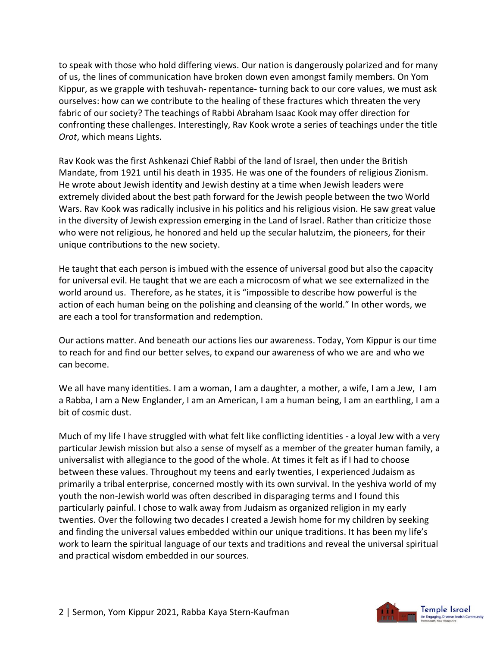to speak with those who hold differing views. Our nation is dangerously polarized and for many of us, the lines of communication have broken down even amongst family members. On Yom Kippur, as we grapple with teshuvah- repentance- turning back to our core values, we must ask ourselves: how can we contribute to the healing of these fractures which threaten the very fabric of our society? The teachings of Rabbi Abraham Isaac Kook may offer direction for confronting these challenges. Interestingly, Rav Kook wrote a series of teachings under the title *Orot*, which means Lights.

Rav Kook was the first Ashkenazi Chief Rabbi of the land of Israel, then under the British Mandate, from 1921 until his death in 1935. He was one of the founders of religious Zionism. He wrote about Jewish identity and Jewish destiny at a time when Jewish leaders were extremely divided about the best path forward for the Jewish people between the two World Wars. Rav Kook was radically inclusive in his politics and his religious vision. He saw great value in the diversity of Jewish expression emerging in the Land of Israel. Rather than criticize those who were not religious, he honored and held up the secular halutzim, the pioneers, for their unique contributions to the new society.

He taught that each person is imbued with the essence of universal good but also the capacity for universal evil. He taught that we are each a microcosm of what we see externalized in the world around us. Therefore, as he states, it is "impossible to describe how powerful is the action of each human being on the polishing and cleansing of the world." In other words, we are each a tool for transformation and redemption.

Our actions matter. And beneath our actions lies our awareness. Today, Yom Kippur is our time to reach for and find our better selves, to expand our awareness of who we are and who we can become.

We all have many identities. I am a woman, I am a daughter, a mother, a wife, I am a Jew, I am a Rabba, I am a New Englander, I am an American, I am a human being, I am an earthling, I am a bit of cosmic dust.

Much of my life I have struggled with what felt like conflicting identities - a loyal Jew with a very particular Jewish mission but also a sense of myself as a member of the greater human family, a universalist with allegiance to the good of the whole. At times it felt as if I had to choose between these values. Throughout my teens and early twenties, I experienced Judaism as primarily a tribal enterprise, concerned mostly with its own survival. In the yeshiva world of my youth the non-Jewish world was often described in disparaging terms and I found this particularly painful. I chose to walk away from Judaism as organized religion in my early twenties. Over the following two decades I created a Jewish home for my children by seeking and finding the universal values embedded within our unique traditions. It has been my life's work to learn the spiritual language of our texts and traditions and reveal the universal spiritual and practical wisdom embedded in our sources.

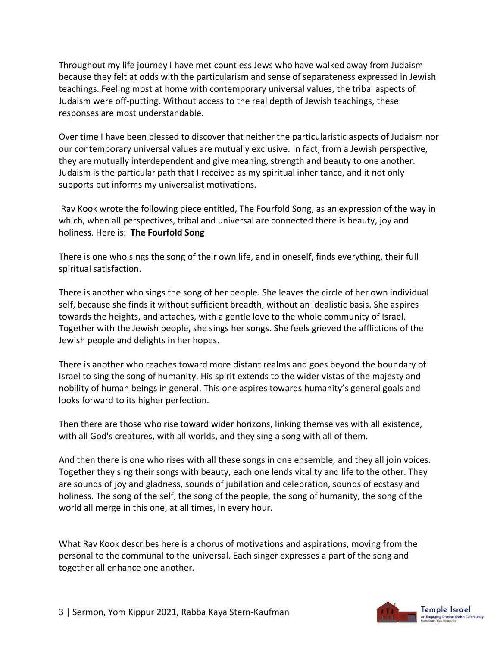Throughout my life journey I have met countless Jews who have walked away from Judaism because they felt at odds with the particularism and sense of separateness expressed in Jewish teachings. Feeling most at home with contemporary universal values, the tribal aspects of Judaism were off-putting. Without access to the real depth of Jewish teachings, these responses are most understandable.

Over time I have been blessed to discover that neither the particularistic aspects of Judaism nor our contemporary universal values are mutually exclusive. In fact, from a Jewish perspective, they are mutually interdependent and give meaning, strength and beauty to one another. Judaism is the particular path that I received as my spiritual inheritance, and it not only supports but informs my universalist motivations.

Rav Kook wrote the following piece entitled, The Fourfold Song, as an expression of the way in which, when all perspectives, tribal and universal are connected there is beauty, joy and holiness. Here is: **The Fourfold Song**

There is one who sings the song of their own life, and in oneself, finds everything, their full spiritual satisfaction.

There is another who sings the song of her people. She leaves the circle of her own individual self, because she finds it without sufficient breadth, without an idealistic basis. She aspires towards the heights, and attaches, with a gentle love to the whole community of Israel. Together with the Jewish people, she sings her songs. She feels grieved the afflictions of the Jewish people and delights in her hopes.

There is another who reaches toward more distant realms and goes beyond the boundary of Israel to sing the song of humanity. His spirit extends to the wider vistas of the majesty and nobility of human beings in general. This one aspires towards humanity's general goals and looks forward to its higher perfection.

Then there are those who rise toward wider horizons, linking themselves with all existence, with all God's creatures, with all worlds, and they sing a song with all of them.

And then there is one who rises with all these songs in one ensemble, and they all join voices. Together they sing their songs with beauty, each one lends vitality and life to the other. They are sounds of joy and gladness, sounds of jubilation and celebration, sounds of ecstasy and holiness. The song of the self, the song of the people, the song of humanity, the song of the world all merge in this one, at all times, in every hour.

What Rav Kook describes here is a chorus of motivations and aspirations, moving from the personal to the communal to the universal. Each singer expresses a part of the song and together all enhance one another.